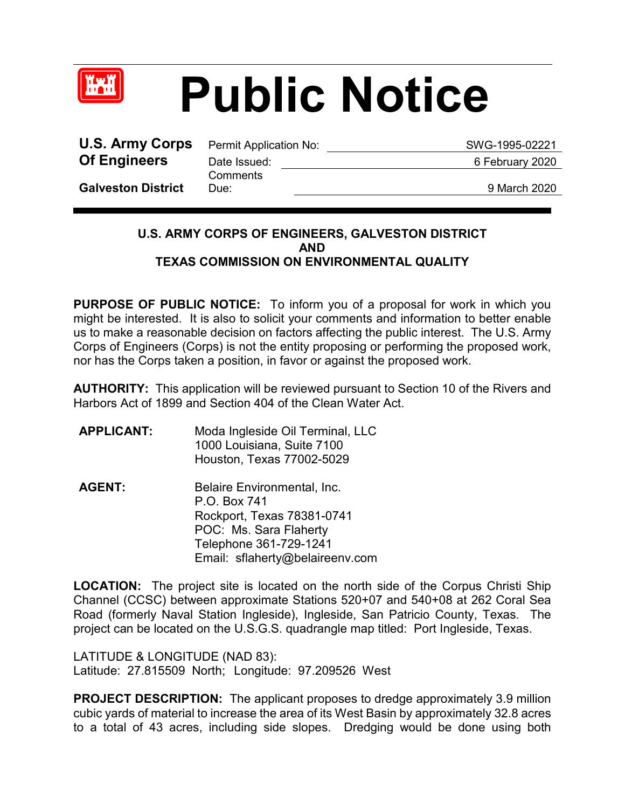

## **Public Notice**

**U.S. Army Corps** Permit Application No: SWG-1995-02221 **Of Engineers** Date Issued: 6 February 2020

**Comments** 

**Galveston District**

Due: 9 March 2020

## **U.S. ARMY CORPS OF ENGINEERS, GALVESTON DISTRICT AND TEXAS COMMISSION ON ENVIRONMENTAL QUALITY**

**PURPOSE OF PUBLIC NOTICE:** To inform you of a proposal for work in which you might be interested. It is also to solicit your comments and information to better enable us to make a reasonable decision on factors affecting the public interest. The U.S. Army Corps of Engineers (Corps) is not the entity proposing or performing the proposed work, nor has the Corps taken a position, in favor or against the proposed work.

**AUTHORITY:** This application will be reviewed pursuant to Section 10 of the Rivers and Harbors Act of 1899 and Section 404 of the Clean Water Act.

- **APPLICANT:** Moda Ingleside Oil Terminal, LLC 1000 Louisiana, Suite 7100 Houston, Texas 77002-5029
- AGENT: Belaire Environmental, Inc. P.O. Box 741 Rockport, Texas 78381-0741 POC: Ms. Sara Flaherty Telephone 361-729-1241 Email: sflaherty@belaireenv.com

**LOCATION:** The project site is located on the north side of the Corpus Christi Ship Channel (CCSC) between approximate Stations 520+07 and 540+08 at 262 Coral Sea Road (formerly Naval Station Ingleside), Ingleside, San Patricio County, Texas. The project can be located on the U.S.G.S. quadrangle map titled: Port Ingleside, Texas.

LATITUDE & LONGITUDE (NAD 83): Latitude: 27.815509 North; Longitude: 97.209526 West

**PROJECT DESCRIPTION:** The applicant proposes to dredge approximately 3.9 million cubic yards of material to increase the area of its West Basin by approximately 32.8 acres to a total of 43 acres, including side slopes. Dredging would be done using both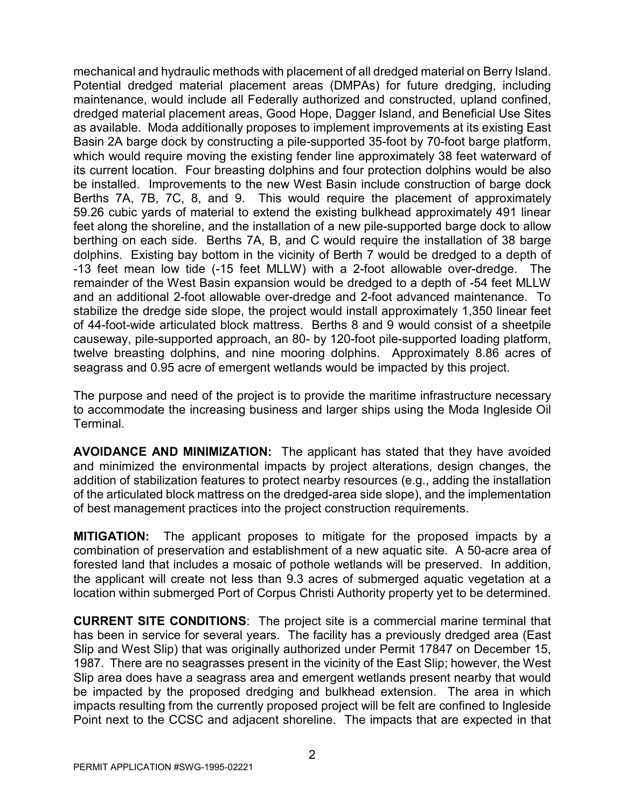mechanical and hydraulic methods with placement of all dredged material on Berry Island. Potential dredged material placement areas (DMPAs) for future dredging, including maintenance, would include all Federally authorized and constructed, upland confined, dredged material placement areas, Good Hope, Dagger Island, and Beneficial Use Sites as available. Moda additionally proposes to implement improvements at its existing East Basin 2A barge dock by constructing a pile-supported 35-foot by 70-foot barge platform, which would require moving the existing fender line approximately 38 feet waterward of its current location. Four breasting dolphins and four protection dolphins would be also be installed. Improvements to the new West Basin include construction of barge dock Berths 7A, 7B, 7C, 8, and 9. This would require the placement of approximately 59.26 cubic yards of material to extend the existing bulkhead approximately 491 linear feet along the shoreline, and the installation of a new pile-supported barge dock to allow berthing on each side. Berths 7A, B, and C would require the installation of 38 barge dolphins. Existing bay bottom in the vicinity of Berth 7 would be dredged to a depth of -13 feet mean low tide (-15 feet MLLW) with a 2-foot allowable over-dredge. The remainder of the West Basin expansion would be dredged to a depth of -54 feet MLLW and an additional 2-foot allowable over-dredge and 2-foot advanced maintenance. To stabilize the dredge side slope, the project would install approximately 1,350 linear feet of 44-foot-wide articulated block mattress. Berths 8 and 9 would consist of a sheetpile causeway, pile-supported approach, an 80- by 120-foot pile-supported loading platform, twelve breasting dolphins, and nine mooring dolphins. Approximately 8.86 acres of seagrass and 0.95 acre of emergent wetlands would be impacted by this project.

The purpose and need of the project is to provide the maritime infrastructure necessary to accommodate the increasing business and larger ships using the Moda Ingleside Oil Terminal.

**AVOIDANCE AND MINIMIZATION:** The applicant has stated that they have avoided and minimized the environmental impacts by project alterations, design changes, the addition of stabilization features to protect nearby resources (e.g., adding the installation of the articulated block mattress on the dredged-area side slope), and the implementation of best management practices into the project construction requirements.

**MITIGATION:** The applicant proposes to mitigate for the proposed impacts by a combination of preservation and establishment of a new aquatic site. A 50-acre area of forested land that includes a mosaic of pothole wetlands will be preserved. In addition, the applicant will create not less than 9.3 acres of submerged aquatic vegetation at a location within submerged Port of Corpus Christi Authority property yet to be determined.

**CURRENT SITE CONDITIONS**: The project site is a commercial marine terminal that has been in service for several years. The facility has a previously dredged area (East Slip and West Slip) that was originally authorized under Permit 17847 on December 15, 1987. There are no seagrasses present in the vicinity of the East Slip; however, the West Slip area does have a seagrass area and emergent wetlands present nearby that would be impacted by the proposed dredging and bulkhead extension. The area in which impacts resulting from the currently proposed project will be felt are confined to Ingleside Point next to the CCSC and adjacent shoreline. The impacts that are expected in that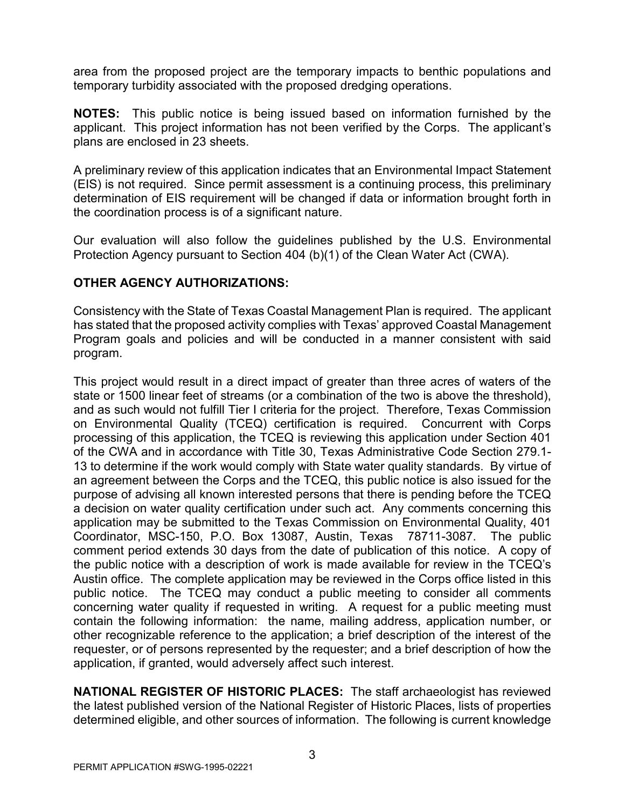area from the proposed project are the temporary impacts to benthic populations and temporary turbidity associated with the proposed dredging operations.

**NOTES:** This public notice is being issued based on information furnished by the applicant. This project information has not been verified by the Corps. The applicant's plans are enclosed in 23 sheets.

A preliminary review of this application indicates that an Environmental Impact Statement (EIS) is not required. Since permit assessment is a continuing process, this preliminary determination of EIS requirement will be changed if data or information brought forth in the coordination process is of a significant nature.

Our evaluation will also follow the guidelines published by the U.S. Environmental Protection Agency pursuant to Section 404 (b)(1) of the Clean Water Act (CWA).

## **OTHER AGENCY AUTHORIZATIONS:**

Consistency with the State of Texas Coastal Management Plan is required. The applicant has stated that the proposed activity complies with Texas' approved Coastal Management Program goals and policies and will be conducted in a manner consistent with said program.

This project would result in a direct impact of greater than three acres of waters of the state or 1500 linear feet of streams (or a combination of the two is above the threshold), and as such would not fulfill Tier I criteria for the project. Therefore, Texas Commission on Environmental Quality (TCEQ) certification is required. Concurrent with Corps processing of this application, the TCEQ is reviewing this application under Section 401 of the CWA and in accordance with Title 30, Texas Administrative Code Section 279.1- 13 to determine if the work would comply with State water quality standards. By virtue of an agreement between the Corps and the TCEQ, this public notice is also issued for the purpose of advising all known interested persons that there is pending before the TCEQ a decision on water quality certification under such act. Any comments concerning this application may be submitted to the Texas Commission on Environmental Quality, 401 Coordinator, MSC-150, P.O. Box 13087, Austin, Texas 78711-3087. The public comment period extends 30 days from the date of publication of this notice. A copy of the public notice with a description of work is made available for review in the TCEQ's Austin office. The complete application may be reviewed in the Corps office listed in this public notice. The TCEQ may conduct a public meeting to consider all comments concerning water quality if requested in writing. A request for a public meeting must contain the following information: the name, mailing address, application number, or other recognizable reference to the application; a brief description of the interest of the requester, or of persons represented by the requester; and a brief description of how the application, if granted, would adversely affect such interest.

**NATIONAL REGISTER OF HISTORIC PLACES:** The staff archaeologist has reviewed the latest published version of the National Register of Historic Places, lists of properties determined eligible, and other sources of information. The following is current knowledge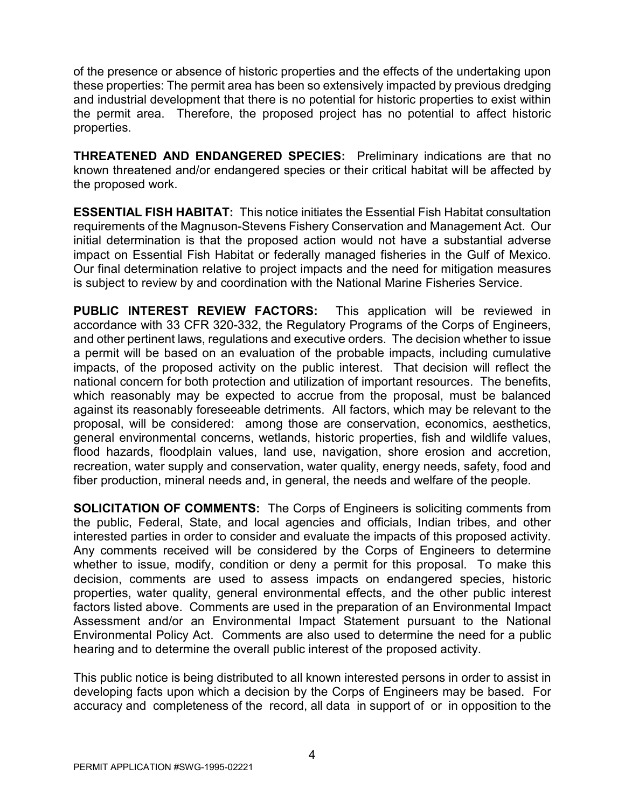of the presence or absence of historic properties and the effects of the undertaking upon these properties: The permit area has been so extensively impacted by previous dredging and industrial development that there is no potential for historic properties to exist within the permit area. Therefore, the proposed project has no potential to affect historic properties.

**THREATENED AND ENDANGERED SPECIES:** Preliminary indications are that no known threatened and/or endangered species or their critical habitat will be affected by the proposed work.

**ESSENTIAL FISH HABITAT:** This notice initiates the Essential Fish Habitat consultation requirements of the Magnuson-Stevens Fishery Conservation and Management Act. Our initial determination is that the proposed action would not have a substantial adverse impact on Essential Fish Habitat or federally managed fisheries in the Gulf of Mexico. Our final determination relative to project impacts and the need for mitigation measures is subject to review by and coordination with the National Marine Fisheries Service.

**PUBLIC INTEREST REVIEW FACTORS:** This application will be reviewed in accordance with 33 CFR 320-332, the Regulatory Programs of the Corps of Engineers, and other pertinent laws, regulations and executive orders. The decision whether to issue a permit will be based on an evaluation of the probable impacts, including cumulative impacts, of the proposed activity on the public interest. That decision will reflect the national concern for both protection and utilization of important resources. The benefits, which reasonably may be expected to accrue from the proposal, must be balanced against its reasonably foreseeable detriments. All factors, which may be relevant to the proposal, will be considered: among those are conservation, economics, aesthetics, general environmental concerns, wetlands, historic properties, fish and wildlife values, flood hazards, floodplain values, land use, navigation, shore erosion and accretion, recreation, water supply and conservation, water quality, energy needs, safety, food and fiber production, mineral needs and, in general, the needs and welfare of the people.

**SOLICITATION OF COMMENTS:** The Corps of Engineers is soliciting comments from the public, Federal, State, and local agencies and officials, Indian tribes, and other interested parties in order to consider and evaluate the impacts of this proposed activity. Any comments received will be considered by the Corps of Engineers to determine whether to issue, modify, condition or deny a permit for this proposal. To make this decision, comments are used to assess impacts on endangered species, historic properties, water quality, general environmental effects, and the other public interest factors listed above. Comments are used in the preparation of an Environmental Impact Assessment and/or an Environmental Impact Statement pursuant to the National Environmental Policy Act. Comments are also used to determine the need for a public hearing and to determine the overall public interest of the proposed activity.

This public notice is being distributed to all known interested persons in order to assist in developing facts upon which a decision by the Corps of Engineers may be based. For accuracy and completeness of the record, all data in support of or in opposition to the